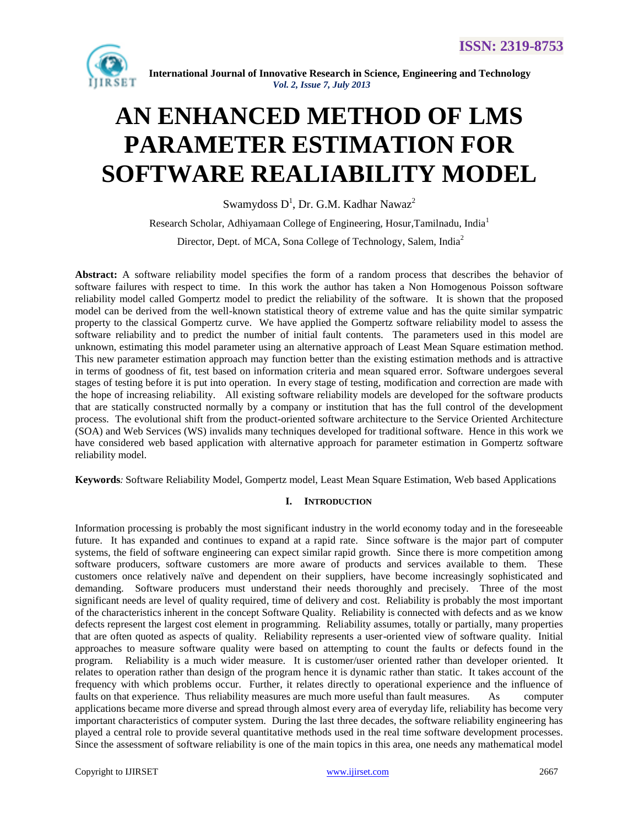

# **AN ENHANCED METHOD OF LMS PARAMETER ESTIMATION FOR SOFTWARE REALIABILITY MODEL**

Swamydoss D $^{\rm l}$ , Dr. G.M. Kadhar Nawaz $^{\rm 2}$ 

Research Scholar, Adhiyamaan College of Engineering, Hosur,Tamilnadu, India<sup>1</sup> Director, Dept. of MCA, Sona College of Technology, Salem, India<sup>2</sup>

**Abstract:** A software reliability model specifies the form of a random process that describes the behavior of software failures with respect to time. In this work the author has taken a Non Homogenous Poisson software reliability model called Gompertz model to predict the reliability of the software. It is shown that the proposed model can be derived from the well-known statistical theory of extreme value and has the quite similar sympatric property to the classical Gompertz curve. We have applied the Gompertz software reliability model to assess the software reliability and to predict the number of initial fault contents. The parameters used in this model are unknown, estimating this model parameter using an alternative approach of Least Mean Square estimation method. This new parameter estimation approach may function better than the existing estimation methods and is attractive in terms of goodness of fit, test based on information criteria and mean squared error. Software undergoes several stages of testing before it is put into operation. In every stage of testing, modification and correction are made with the hope of increasing reliability. All existing software reliability models are developed for the software products that are statically constructed normally by a company or institution that has the full control of the development process. The evolutional shift from the product-oriented software architecture to the Service Oriented Architecture (SOA) and Web Services (WS) invalids many techniques developed for traditional software. Hence in this work we have considered web based application with alternative approach for parameter estimation in Gompertz software reliability model.

**Keywords***:* Software Reliability Model, Gompertz model, Least Mean Square Estimation, Web based Applications

# **I. INTRODUCTION**

Information processing is probably the most significant industry in the world economy today and in the foreseeable future. It has expanded and continues to expand at a rapid rate. Since software is the major part of computer systems, the field of software engineering can expect similar rapid growth. Since there is more competition among software producers, software customers are more aware of products and services available to them. These customers once relatively naïve and dependent on their suppliers, have become increasingly sophisticated and demanding. Software producers must understand their needs thoroughly and precisely. Three of the most significant needs are level of quality required, time of delivery and cost. Reliability is probably the most important of the characteristics inherent in the concept Software Quality. Reliability is connected with defects and as we know defects represent the largest cost element in programming. Reliability assumes, totally or partially, many properties that are often quoted as aspects of quality. Reliability represents a user-oriented view of software quality. Initial approaches to measure software quality were based on attempting to count the faults or defects found in the program. Reliability is a much wider measure. It is customer/user oriented rather than developer oriented. It relates to operation rather than design of the program hence it is dynamic rather than static. It takes account of the frequency with which problems occur. Further, it relates directly to operational experience and the influence of faults on that experience. Thus reliability measures are much more useful than fault measures. As computer applications became more diverse and spread through almost every area of everyday life, reliability has become very important characteristics of computer system. During the last three decades, the software reliability engineering has played a central role to provide several quantitative methods used in the real time software development processes. Since the assessment of software reliability is one of the main topics in this area, one needs any mathematical model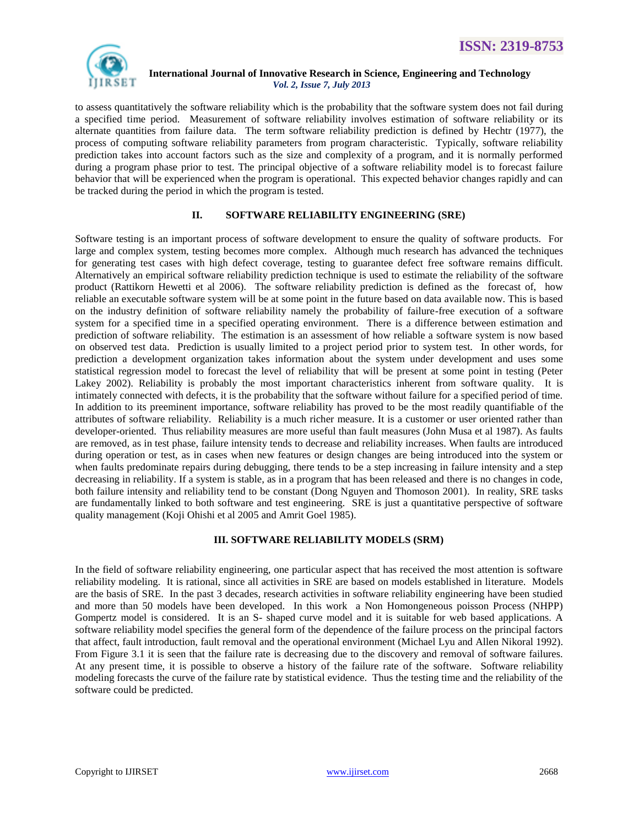

to assess quantitatively the software reliability which is the probability that the software system does not fail during a specified time period. Measurement of software reliability involves estimation of software reliability or its alternate quantities from failure data. The term software reliability prediction is defined by Hechtr (1977), the process of computing software reliability parameters from program characteristic. Typically, software reliability prediction takes into account factors such as the size and complexity of a program, and it is normally performed during a program phase prior to test. The principal objective of a software reliability model is to forecast failure behavior that will be experienced when the program is operational. This expected behavior changes rapidly and can be tracked during the period in which the program is tested.

# **II. SOFTWARE RELIABILITY ENGINEERING (SRE)**

Software testing is an important process of software development to ensure the quality of software products. For large and complex system, testing becomes more complex. Although much research has advanced the techniques for generating test cases with high defect coverage, testing to guarantee defect free software remains difficult. Alternatively an empirical software reliability prediction technique is used to estimate the reliability of the software product (Rattikorn Hewetti et al 2006). The software reliability prediction is defined as the forecast of, how reliable an executable software system will be at some point in the future based on data available now. This is based on the industry definition of software reliability namely the probability of failure-free execution of a software system for a specified time in a specified operating environment. There is a difference between estimation and prediction of software reliability. The estimation is an assessment of how reliable a software system is now based on observed test data. Prediction is usually limited to a project period prior to system test. In other words, for prediction a development organization takes information about the system under development and uses some statistical regression model to forecast the level of reliability that will be present at some point in testing (Peter Lakey 2002). Reliability is probably the most important characteristics inherent from software quality. It is intimately connected with defects, it is the probability that the software without failure for a specified period of time. In addition to its preeminent importance, software reliability has proved to be the most readily quantifiable of the attributes of software reliability. Reliability is a much richer measure. It is a customer or user oriented rather than developer-oriented. Thus reliability measures are more useful than fault measures (John Musa et al 1987). As faults are removed, as in test phase, failure intensity tends to decrease and reliability increases. When faults are introduced during operation or test, as in cases when new features or design changes are being introduced into the system or when faults predominate repairs during debugging, there tends to be a step increasing in failure intensity and a step decreasing in reliability. If a system is stable, as in a program that has been released and there is no changes in code, both failure intensity and reliability tend to be constant (Dong Nguyen and Thomoson 2001). In reality, SRE tasks are fundamentally linked to both software and test engineering. SRE is just a quantitative perspective of software quality management (Koji Ohishi et al 2005 and Amrit Goel 1985).

# **III. SOFTWARE RELIABILITY MODELS (SRM)**

In the field of software reliability engineering, one particular aspect that has received the most attention is software reliability modeling. It is rational, since all activities in SRE are based on models established in literature. Models are the basis of SRE. In the past 3 decades, research activities in software reliability engineering have been studied and more than 50 models have been developed. In this work a Non Homongeneous poisson Process (NHPP) Gompertz model is considered. It is an S- shaped curve model and it is suitable for web based applications. A software reliability model specifies the general form of the dependence of the failure process on the principal factors that affect, fault introduction, fault removal and the operational environment (Michael Lyu and Allen Nikoral 1992). From Figure 3.1 it is seen that the failure rate is decreasing due to the discovery and removal of software failures. At any present time, it is possible to observe a history of the failure rate of the software. Software reliability modeling forecasts the curve of the failure rate by statistical evidence. Thus the testing time and the reliability of the software could be predicted.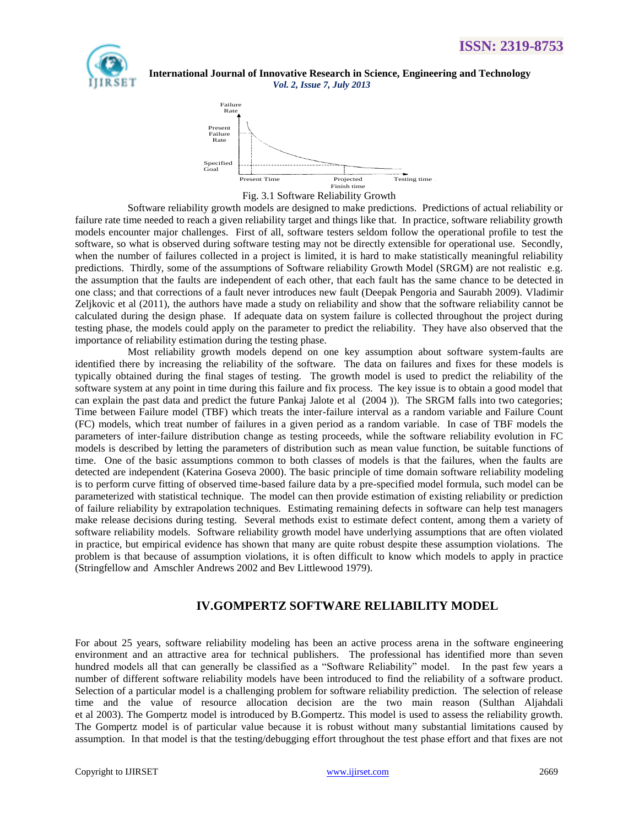



Fig. 3.1 Software Reliability Growth

Software reliability growth models are designed to make predictions. Predictions of actual reliability or failure rate time needed to reach a given reliability target and things like that. In practice, software reliability growth models encounter major challenges. First of all, software testers seldom follow the operational profile to test the software, so what is observed during software testing may not be directly extensible for operational use. Secondly, when the number of failures collected in a project is limited, it is hard to make statistically meaningful reliability predictions. Thirdly, some of the assumptions of Software reliability Growth Model (SRGM) are not realistic e.g. the assumption that the faults are independent of each other, that each fault has the same chance to be detected in one class; and that corrections of a fault never introduces new fault (Deepak Pengoria and Saurabh 2009). Vladimir Zeljkovic et al (2011), the authors have made a study on reliability and show that the software reliability cannot be calculated during the design phase. If adequate data on system failure is collected throughout the project during testing phase, the models could apply on the parameter to predict the reliability. They have also observed that the importance of reliability estimation during the testing phase.

Most reliability growth models depend on one key assumption about software system-faults are identified there by increasing the reliability of the software. The data on failures and fixes for these models is typically obtained during the final stages of testing. The growth model is used to predict the reliability of the software system at any point in time during this failure and fix process. The key issue is to obtain a good model that can explain the past data and predict the future Pankaj Jalote et al (2004 )). The SRGM falls into two categories; Time between Failure model (TBF) which treats the inter-failure interval as a random variable and Failure Count (FC) models, which treat number of failures in a given period as a random variable. In case of TBF models the parameters of inter-failure distribution change as testing proceeds, while the software reliability evolution in FC models is described by letting the parameters of distribution such as mean value function, be suitable functions of time. One of the basic assumptions common to both classes of models is that the failures, when the faults are detected are independent (Katerina Goseva 2000). The basic principle of time domain software reliability modeling is to perform curve fitting of observed time-based failure data by a pre-specified model formula, such model can be parameterized with statistical technique. The model can then provide estimation of existing reliability or prediction of failure reliability by extrapolation techniques. Estimating remaining defects in software can help test managers make release decisions during testing. Several methods exist to estimate defect content, among them a variety of software reliability models. Software reliability growth model have underlying assumptions that are often violated in practice, but empirical evidence has shown that many are quite robust despite these assumption violations. The problem is that because of assumption violations, it is often difficult to know which models to apply in practice (Stringfellow and Amschler Andrews 2002 and Bev Littlewood 1979).

# **IV.GOMPERTZ SOFTWARE RELIABILITY MODEL**

For about 25 years, software reliability modeling has been an active process arena in the software engineering environment and an attractive area for technical publishers. The professional has identified more than seven hundred models all that can generally be classified as a "Software Reliability" model. In the past few years a number of different software reliability models have been introduced to find the reliability of a software product. Selection of a particular model is a challenging problem for software reliability prediction. The selection of release time and the value of resource allocation decision are the two main reason (Sulthan Aljahdali et al 2003). The Gompertz model is introduced by B.Gompertz. This model is used to assess the reliability growth. The Gompertz model is of particular value because it is robust without many substantial limitations caused by assumption. In that model is that the testing/debugging effort throughout the test phase effort and that fixes are not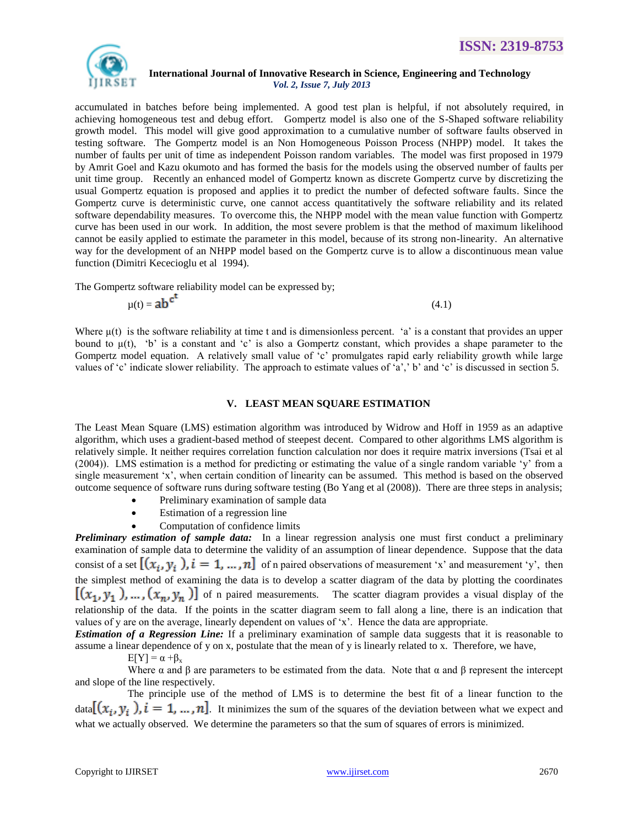

accumulated in batches before being implemented. A good test plan is helpful, if not absolutely required, in achieving homogeneous test and debug effort. Gompertz model is also one of the S-Shaped software reliability growth model. This model will give good approximation to a cumulative number of software faults observed in testing software. The Gompertz model is an Non Homogeneous Poisson Process (NHPP) model. It takes the number of faults per unit of time as independent Poisson random variables. The model was first proposed in 1979 by Amrit Goel and Kazu okumoto and has formed the basis for the models using the observed number of faults per unit time group. Recently an enhanced model of Gompertz known as discrete Gompertz curve by discretizing the usual Gompertz equation is proposed and applies it to predict the number of defected software faults. Since the Gompertz curve is deterministic curve, one cannot access quantitatively the software reliability and its related software dependability measures. To overcome this, the NHPP model with the mean value function with Gompertz curve has been used in our work. In addition, the most severe problem is that the method of maximum likelihood cannot be easily applied to estimate the parameter in this model, because of its strong non-linearity. An alternative way for the development of an NHPP model based on the Gompertz curve is to allow a discontinuous mean value function (Dimitri Kececioglu et al 1994).

The Gompertz software reliability model can be expressed by;

$$
\mu(t) = ab^{c^{t}} \tag{4.1}
$$

Where  $\mu(t)$  is the software reliability at time t and is dimensionless percent. 'a' is a constant that provides an upper bound to  $\mu(t)$ , "b" is a constant and "c" is also a Gompertz constant, which provides a shape parameter to the Gompertz model equation. A relatively small value of 'c' promulgates rapid early reliability growth while large values of 'c' indicate slower reliability. The approach to estimate values of 'a',' b' and 'c' is discussed in section 5.

#### **V. LEAST MEAN SQUARE ESTIMATION**

The Least Mean Square (LMS) estimation algorithm was introduced by Widrow and Hoff in 1959 as an adaptive algorithm, which uses a gradient-based method of steepest decent. Compared to other algorithms LMS algorithm is relatively simple. It neither requires correlation function calculation nor does it require matrix inversions (Tsai et al (2004)). LMS estimation is a method for predicting or estimating the value of a single random variable "y" from a single measurement 'x', when certain condition of linearity can be assumed. This method is based on the observed outcome sequence of software runs during software testing (Bo Yang et al (2008)). There are three steps in analysis;

- Preliminary examination of sample data
- Estimation of a regression line
- Computation of confidence limits

*Preliminary estimation of sample data:* In a linear regression analysis one must first conduct a preliminary examination of sample data to determine the validity of an assumption of linear dependence. Suppose that the data consist of a set  $[(x_i, y_i)]$ ,  $i = 1, ..., n$  of n paired observations of measurement 'x' and measurement 'y', then the simplest method of examining the data is to develop a scatter diagram of the data by plotting the coordinates  $[(x_1, y_1), ..., (x_n, y_n)]$  of n paired measurements. The scatter diagram provides a visual display of the relationship of the data. If the points in the scatter diagram seem to fall along a line, there is an indication that values of y are on the average, linearly dependent on values of "x". Hence the data are appropriate.

*Estimation of a Regression Line:* If a preliminary examination of sample data suggests that it is reasonable to assume a linear dependence of y on x, postulate that the mean of y is linearly related to x. Therefore, we have,

 $E[Y] = \alpha + \beta_{x}$ 

Where  $\alpha$  and  $\beta$  are parameters to be estimated from the data. Note that  $\alpha$  and  $\beta$  represent the intercept and slope of the line respectively.

The principle use of the method of LMS is to determine the best fit of a linear function to the  $\text{data}[(x_i, y_i), i = 1, ..., n]$ . It minimizes the sum of the squares of the deviation between what we expect and what we actually observed. We determine the parameters so that the sum of squares of errors is minimized.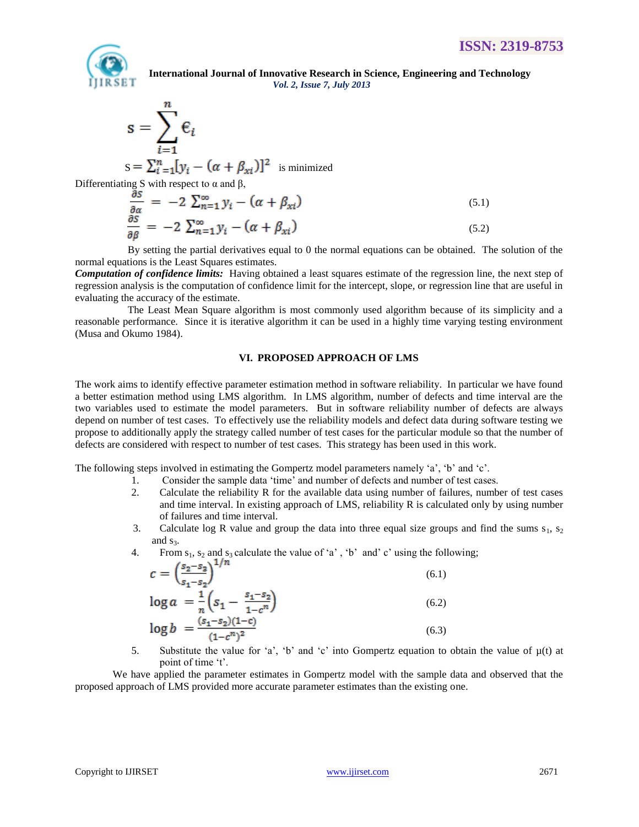

$$
s = \sum_{i=1}^{n} \varepsilon_i
$$
  

$$
s = \sum_{i=1}^{n} [y_i - (\alpha + \beta_{xi})]^2
$$
 is minimized

Differentiating S with respect to  $\alpha$  and  $\beta$ ,

m

$$
\frac{\partial S}{\partial \alpha} = -2 \sum_{n=1}^{\infty} y_i - (\alpha + \beta_{xi})
$$
\n(5.1)\n
$$
\frac{\partial S}{\partial \beta} = -2 \sum_{n=1}^{\infty} y_i - (\alpha + \beta_{xi})
$$
\n(5.2)

By setting the partial derivatives equal to 0 the normal equations can be obtained. The solution of the normal equations is the Least Squares estimates.

*Computation of confidence limits:* Having obtained a least squares estimate of the regression line, the next step of regression analysis is the computation of confidence limit for the intercept, slope, or regression line that are useful in evaluating the accuracy of the estimate.

The Least Mean Square algorithm is most commonly used algorithm because of its simplicity and a reasonable performance. Since it is iterative algorithm it can be used in a highly time varying testing environment (Musa and Okumo 1984).

#### **VI. PROPOSED APPROACH OF LMS**

The work aims to identify effective parameter estimation method in software reliability. In particular we have found a better estimation method using LMS algorithm. In LMS algorithm, number of defects and time interval are the two variables used to estimate the model parameters. But in software reliability number of defects are always depend on number of test cases. To effectively use the reliability models and defect data during software testing we propose to additionally apply the strategy called number of test cases for the particular module so that the number of defects are considered with respect to number of test cases. This strategy has been used in this work.

The following steps involved in estimating the Gompertz model parameters namely 'a', 'b' and 'c'.

- 1. Consider the sample data "time" and number of defects and number of test cases.
- 2. Calculate the reliability R for the available data using number of failures, number of test cases and time interval. In existing approach of LMS, reliability R is calculated only by using number of failures and time interval.
- 3. Calculate log R value and group the data into three equal size groups and find the sums  $s_1$ ,  $s_2$ and  $s_3$ .

4. From  $s_1$ ,  $s_2$  and  $s_3$  calculate the value of 'a', 'b' and' c' using the following;

$$
c = \left(\frac{s_2 - s_2}{s_1 - s_2}\right)^{1/n}
$$
(6.1)  

$$
\log a = \frac{1}{n} \left(s_1 - \frac{s_1 - s_2}{1 - c^n}\right)
$$
(6.2)  

$$
\log b = \frac{(s_1 - s_2)(1 - c)}{(1 - c^n)^2}
$$
(6.3)

5. Substitute the value for 'a', 'b' and 'c' into Gompertz equation to obtain the value of  $\mu(t)$  at point of time 't'.

We have applied the parameter estimates in Gompertz model with the sample data and observed that the proposed approach of LMS provided more accurate parameter estimates than the existing one.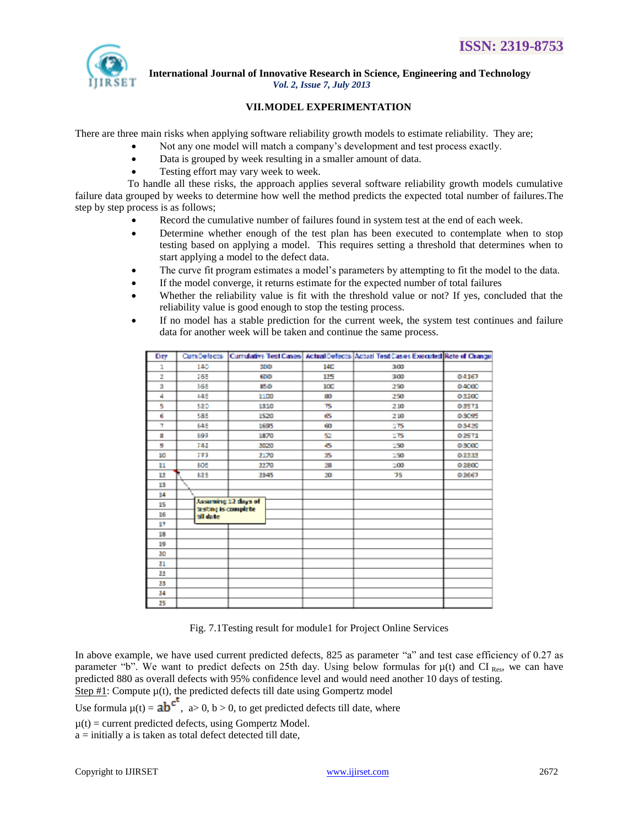

# **VII.MODEL EXPERIMENTATION**

There are three main risks when applying software reliability growth models to estimate reliability. They are;

- Not any one model will match a company"s development and test process exactly.
	- Data is grouped by week resulting in a smaller amount of data.
	- Testing effort may vary week to week.

To handle all these risks, the approach applies several software reliability growth models cumulative failure data grouped by weeks to determine how well the method predicts the expected total number of failures.The step by step process is as follows;

- Record the cumulative number of failures found in system test at the end of each week.
- Determine whether enough of the test plan has been executed to contemplate when to stop testing based on applying a model. This requires setting a threshold that determines when to start applying a model to the defect data.
- The curve fit program estimates a model's parameters by attempting to fit the model to the data.
- If the model converge, it returns estimate for the expected number of total failures
- Whether the reliability value is fit with the threshold value or not? If yes, concluded that the reliability value is good enough to stop the testing process.
- If no model has a stable prediction for the current week, the system test continues and failure data for another week will be taken and continue the same process.

| Day | Cum Defects |                                            |  |     | Cumulative Test Cases   Actual Defects   Actual Test Cases Executed Rate of Change |        |
|-----|-------------|--------------------------------------------|--|-----|------------------------------------------------------------------------------------|--------|
| 1   | 140         | 300                                        |  | 140 | 300                                                                                |        |
| 2   | 165         | 600                                        |  | 125 | 300                                                                                | 0.4167 |
| з   | 565         | 85.0                                       |  | зœ  | 250                                                                                | 0.4000 |
| 4   | 445         | 1100                                       |  | 80. | 250                                                                                | 0.3200 |
| 5   | 520         | 1310                                       |  | 75  | 210                                                                                | 0.3571 |
| 6   | 585         | 1520                                       |  | 65  | 210                                                                                | 0.3095 |
| T.  | 645         | 1695                                       |  | 60  | 175                                                                                | 0.3425 |
| B   | 697         | 1870                                       |  | 52  | 175                                                                                | 0.2971 |
| 9   | 747         | 2020                                       |  | 45. | 150                                                                                | 0.3000 |
| ШO  | 777         | 2170                                       |  | 35  | 150                                                                                | 02333  |
| 11  | 505         | 2270                                       |  | 28  | 100                                                                                | 0.2500 |
| 12  | 825         | 2345                                       |  | 20  | 75                                                                                 | 0.2667 |
| 13  |             |                                            |  |     |                                                                                    |        |
| 14  |             |                                            |  |     |                                                                                    |        |
| 15  |             | Assuming 12 days of<br>testing is complete |  |     |                                                                                    |        |
| 16  | till datte  |                                            |  |     |                                                                                    |        |
| w   |             |                                            |  |     |                                                                                    |        |
| 18  |             |                                            |  |     |                                                                                    |        |
| 19  |             |                                            |  |     |                                                                                    |        |
| 20  |             |                                            |  |     |                                                                                    |        |
| 21  |             |                                            |  |     |                                                                                    |        |
| 22  |             |                                            |  |     |                                                                                    |        |
| 23  |             |                                            |  |     |                                                                                    |        |
| 24  |             |                                            |  |     |                                                                                    |        |
| 25  |             |                                            |  |     |                                                                                    |        |

Fig. 7.1Testing result for module1 for Project Online Services

In above example, we have used current predicted defects, 825 as parameter "a" and test case efficiency of 0.27 as parameter "b". We want to predict defects on 25th day. Using below formulas for  $\mu(t)$  and CI Res, we can have predicted 880 as overall defects with 95% confidence level and would need another 10 days of testing. Step  $#1$ : Compute  $\mu(t)$ , the predicted defects till date using Gompertz model

Use formula  $\mu(t) = ab^{ct}$ , a> 0, b > 0, to get predicted defects till date, where

 $\mu(t)$  = current predicted defects, using Gompertz Model.

a = initially a is taken as total defect detected till date,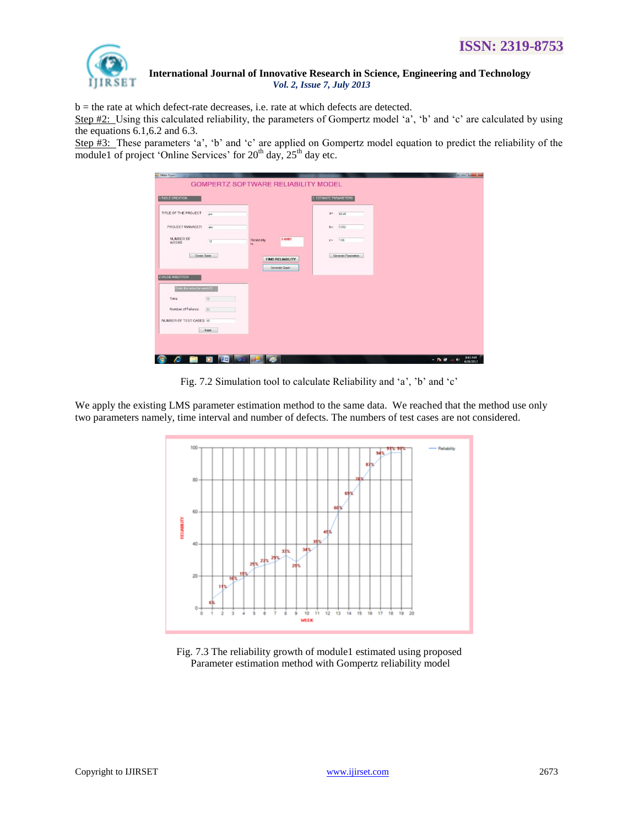

 $b =$  the rate at which defect-rate decreases, i.e. rate at which defects are detected.

Step  $#2$ : Using this calculated reliability, the parameters of Gompertz model 'a', 'b' and 'c' are calculated by using the equations 6.1,6.2 and 6.3.

Step #3: These parameters 'a', 'b' and 'c' are applied on Gompertz model equation to predict the reliability of the module1 of project 'Online Services' for  $20<sup>th</sup>$  day,  $25<sup>th</sup>$  day etc.

| <b>Main Form</b>           |                            |                                     |                                        | $-0-x$                                                 |
|----------------------------|----------------------------|-------------------------------------|----------------------------------------|--------------------------------------------------------|
|                            |                            | GOMPERTZ SOFTWARE RELIABILITY MODEL |                                        |                                                        |
| <b>1.TABLE CREATION</b>    |                            |                                     | 3. ESTIMATE PARAMETERS                 |                                                        |
| TITLE OF THE PROJECT       | oro                        |                                     | a=<br>82.49                            |                                                        |
| PROJECT MANAGER            | abc                        |                                     | 0.052<br>$b$ <sup><math>=</math></sup> |                                                        |
| NUMBER OF<br>WEEKS         | 12                         | 0.6003<br>Reliability<br>18.        | 1.06<br>$C^{\infty}$                   |                                                        |
| Create Table               |                            | FIND RELIABILITY<br>Generate Graph  | Generate Parameters                    |                                                        |
| 2 VALUE INSERTION          |                            |                                     |                                        |                                                        |
| Enter the value for week12 |                            |                                     |                                        |                                                        |
| Time                       | 12                         |                                     |                                        |                                                        |
| Number of Failures         | 33                         |                                     |                                        |                                                        |
| NUMBER OF TEST CASES 10    |                            |                                     |                                        |                                                        |
|                            | Insert                     |                                     |                                        |                                                        |
|                            |                            |                                     |                                        |                                                        |
|                            |                            |                                     |                                        |                                                        |
| Æ<br>أشأرأ                 | l (et<br>ы<br><b>I</b> IOS | எ                                   |                                        | 9:43 AM<br>- <b>19 W</b> - 4<br><b>KO</b><br>4/28/2012 |

Fig. 7.2 Simulation tool to calculate Reliability and 'a', 'b' and 'c'

We apply the existing LMS parameter estimation method to the same data. We reached that the method use only two parameters namely, time interval and number of defects. The numbers of test cases are not considered.



Fig. 7.3 The reliability growth of module1 estimated using proposed Parameter estimation method with Gompertz reliability model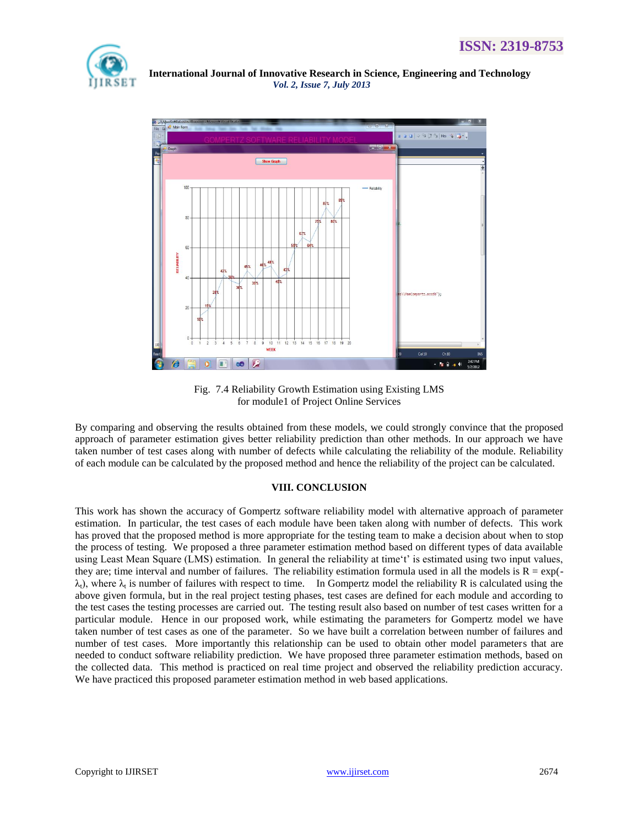



Fig. 7.4 Reliability Growth Estimation using Existing LMS for module1 of Project Online Services

By comparing and observing the results obtained from these models, we could strongly convince that the proposed approach of parameter estimation gives better reliability prediction than other methods. In our approach we have taken number of test cases along with number of defects while calculating the reliability of the module. Reliability of each module can be calculated by the proposed method and hence the reliability of the project can be calculated.

# **VIII. CONCLUSION**

This work has shown the accuracy of Gompertz software reliability model with alternative approach of parameter estimation. In particular, the test cases of each module have been taken along with number of defects. This work has proved that the proposed method is more appropriate for the testing team to make a decision about when to stop the process of testing. We proposed a three parameter estimation method based on different types of data available using Least Mean Square (LMS) estimation. In general the reliability at time 't' is estimated using two input values, they are; time interval and number of failures. The reliability estimation formula used in all the models is  $R = \exp(-\epsilon)$  $\lambda_t$ ), where  $\lambda_t$  is number of failures with respect to time. In Gompertz model the reliability R is calculated using the above given formula, but in the real project testing phases, test cases are defined for each module and according to the test cases the testing processes are carried out. The testing result also based on number of test cases written for a particular module. Hence in our proposed work, while estimating the parameters for Gompertz model we have taken number of test cases as one of the parameter. So we have built a correlation between number of failures and number of test cases. More importantly this relationship can be used to obtain other model parameters that are needed to conduct software reliability prediction. We have proposed three parameter estimation methods, based on the collected data. This method is practiced on real time project and observed the reliability prediction accuracy. We have practiced this proposed parameter estimation method in web based applications.